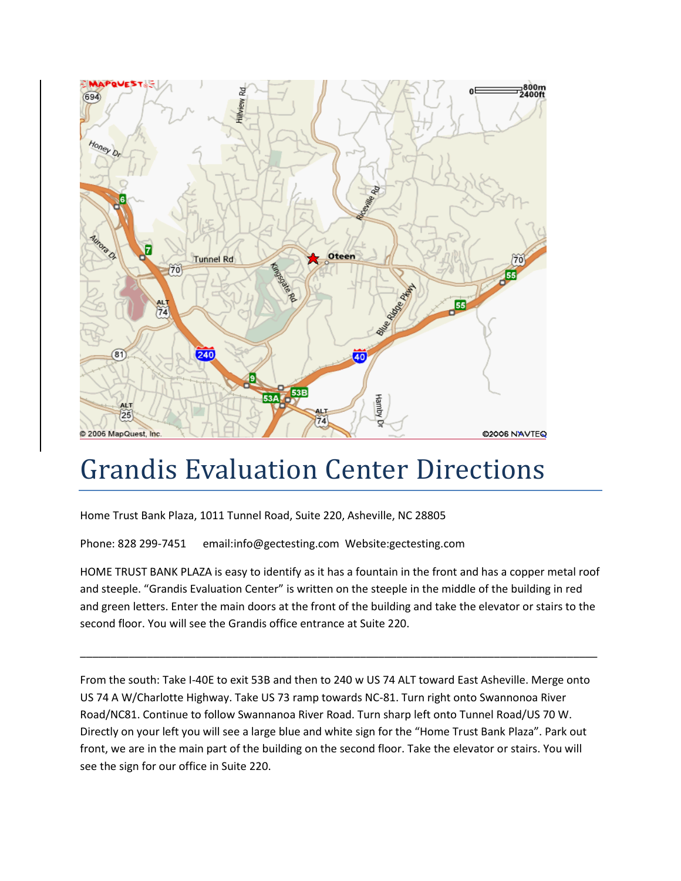

## Grandis Evaluation Center Directions

Home Trust Bank Plaza, 1011 Tunnel Road, Suite 220, Asheville, NC 28805

Phone: 828 299-7451 email:info@gectesting.com Website:gectesting.com

HOME TRUST BANK PLAZA is easy to identify as it has a fountain in the front and has a copper metal roof and steeple. "Grandis Evaluation Center" is written on the steeple in the middle of the building in red and green letters. Enter the main doors at the front of the building and take the elevator or stairs to the second floor. You will see the Grandis office entrance at Suite 220.

\_\_\_\_\_\_\_\_\_\_\_\_\_\_\_\_\_\_\_\_\_\_\_\_\_\_\_\_\_\_\_\_\_\_\_\_\_\_\_\_\_\_\_\_\_\_\_\_\_\_\_\_\_\_\_\_\_\_\_\_\_\_\_\_\_\_\_\_\_\_\_\_\_\_\_\_\_\_\_\_\_\_\_\_\_

From the south: Take I-40E to exit 53B and then to 240 w US 74 ALT toward East Asheville. Merge onto US 74 A W/Charlotte Highway. Take US 73 ramp towards NC-81. Turn right onto Swannonoa River Road/NC81. Continue to follow Swannanoa River Road. Turn sharp left onto Tunnel Road/US 70 W. Directly on your left you will see a large blue and white sign for the "Home Trust Bank Plaza". Park out front, we are in the main part of the building on the second floor. Take the elevator or stairs. You will see the sign for our office in Suite 220.